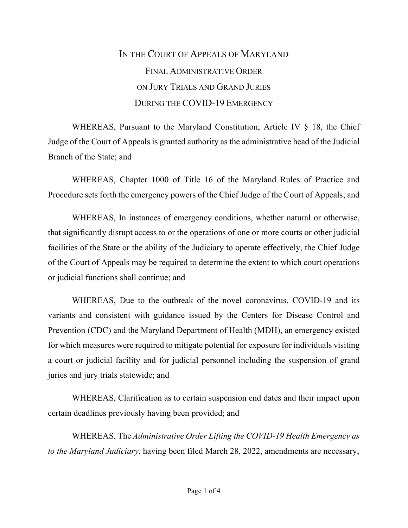## IN THE COURT OF APPEALS OF MARYLAND FINAL ADMINISTRATIVE ORDER ON JURY TRIALS AND GRAND JURIES DURING THE COVID-19 EMERGENCY

WHEREAS, Pursuant to the Maryland Constitution, Article IV § 18, the Chief Judge of the Court of Appeals is granted authority as the administrative head of the Judicial Branch of the State; and

WHEREAS, Chapter 1000 of Title 16 of the Maryland Rules of Practice and Procedure sets forth the emergency powers of the Chief Judge of the Court of Appeals; and

WHEREAS, In instances of emergency conditions, whether natural or otherwise, that significantly disrupt access to or the operations of one or more courts or other judicial facilities of the State or the ability of the Judiciary to operate effectively, the Chief Judge of the Court of Appeals may be required to determine the extent to which court operations or judicial functions shall continue; and

WHEREAS, Due to the outbreak of the novel coronavirus, COVID-19 and its variants and consistent with guidance issued by the Centers for Disease Control and Prevention (CDC) and the Maryland Department of Health (MDH), an emergency existed for which measures were required to mitigate potential for exposure for individuals visiting a court or judicial facility and for judicial personnel including the suspension of grand juries and jury trials statewide; and

WHEREAS, Clarification as to certain suspension end dates and their impact upon certain deadlines previously having been provided; and

WHEREAS, The *Administrative Order Lifting the COVID-19 Health Emergency as to the Maryland Judiciary*, having been filed March 28, 2022, amendments are necessary,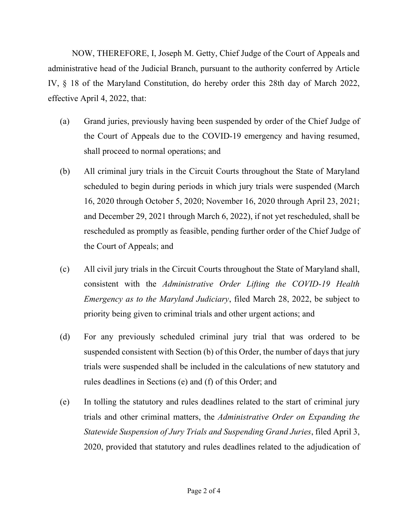NOW, THEREFORE, I, Joseph M. Getty, Chief Judge of the Court of Appeals and administrative head of the Judicial Branch, pursuant to the authority conferred by Article IV, § 18 of the Maryland Constitution, do hereby order this 28th day of March 2022, effective April 4, 2022, that:

- (a) Grand juries, previously having been suspended by order of the Chief Judge of the Court of Appeals due to the COVID-19 emergency and having resumed, shall proceed to normal operations; and
- (b) All criminal jury trials in the Circuit Courts throughout the State of Maryland scheduled to begin during periods in which jury trials were suspended (March 16, 2020 through October 5, 2020; November 16, 2020 through April 23, 2021; and December 29, 2021 through March 6, 2022), if not yet rescheduled, shall be rescheduled as promptly as feasible, pending further order of the Chief Judge of the Court of Appeals; and
- (c) All civil jury trials in the Circuit Courts throughout the State of Maryland shall, consistent with the *Administrative Order Lifting the COVID-19 Health Emergency as to the Maryland Judiciary*, filed March 28, 2022, be subject to priority being given to criminal trials and other urgent actions; and
- (d) For any previously scheduled criminal jury trial that was ordered to be suspended consistent with Section (b) of this Order, the number of days that jury trials were suspended shall be included in the calculations of new statutory and rules deadlines in Sections (e) and (f) of this Order; and
- (e) In tolling the statutory and rules deadlines related to the start of criminal jury trials and other criminal matters, the *Administrative Order on Expanding the Statewide Suspension of Jury Trials and Suspending Grand Juries*, filed April 3, 2020, provided that statutory and rules deadlines related to the adjudication of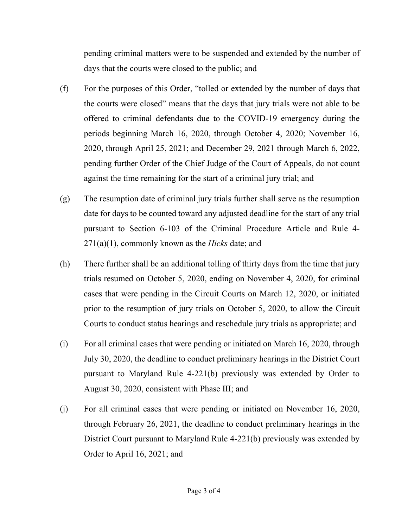pending criminal matters were to be suspended and extended by the number of days that the courts were closed to the public; and

- (f) For the purposes of this Order, "tolled or extended by the number of days that the courts were closed" means that the days that jury trials were not able to be offered to criminal defendants due to the COVID-19 emergency during the periods beginning March 16, 2020, through October 4, 2020; November 16, 2020, through April 25, 2021; and December 29, 2021 through March 6, 2022, pending further Order of the Chief Judge of the Court of Appeals, do not count against the time remaining for the start of a criminal jury trial; and
- (g) The resumption date of criminal jury trials further shall serve as the resumption date for days to be counted toward any adjusted deadline for the start of any trial pursuant to Section 6-103 of the Criminal Procedure Article and Rule 4- 271(a)(1), commonly known as the *Hicks* date; and
- (h) There further shall be an additional tolling of thirty days from the time that jury trials resumed on October 5, 2020, ending on November 4, 2020, for criminal cases that were pending in the Circuit Courts on March 12, 2020, or initiated prior to the resumption of jury trials on October 5, 2020, to allow the Circuit Courts to conduct status hearings and reschedule jury trials as appropriate; and
- (i) For all criminal cases that were pending or initiated on March 16, 2020, through July 30, 2020, the deadline to conduct preliminary hearings in the District Court pursuant to Maryland Rule 4-221(b) previously was extended by Order to August 30, 2020, consistent with Phase III; and
- (j) For all criminal cases that were pending or initiated on November 16, 2020, through February 26, 2021, the deadline to conduct preliminary hearings in the District Court pursuant to Maryland Rule 4-221(b) previously was extended by Order to April 16, 2021; and